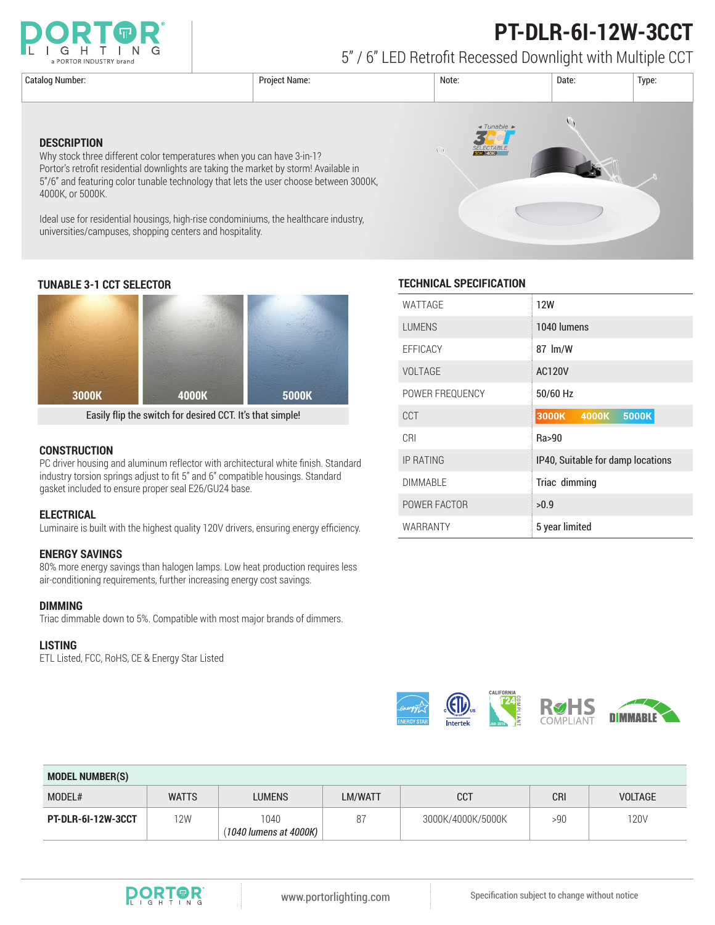



5" / 6" LED Retrofit Recessed Downlight with Multiple CCT

**DESCRIPTION**

4000K, or 5000K.





Why stock three different color temperatures when you can have 3-in-1? Portor's retrofit residential downlights are taking the market by storm! Available in 5"/6" and featuring color tunable technology that lets the user choose between 3000K,

universities/campuses, shopping centers and hospitality.

Ideal use for residential housings, high-rise condominiums, the healthcare industry,

Easily flip the switch for desired CCT. It's that simple!

# **CONSTRUCTION**

PC driver housing and aluminum reflector with architectural white finish. Standard industry torsion springs adjust to fit 5" and 6" compatible housings. Standard gasket included to ensure proper seal E26/GU24 base.

#### **ELECTRICAL**

Luminaire is built with the highest quality 120V drivers, ensuring energy efficiency.

# **ENERGY SAVINGS**

80% more energy savings than halogen lamps. Low heat production requires less air-conditioning requirements, further increasing energy cost savings.

# **DIMMING**

Triac dimmable down to 5%. Compatible with most major brands of dimmers.

#### **LISTING**

ETL Listed, FCC, RoHS, CE & Energy Star Listed

# **TUNABLE 3-1 CCT SELECTOR TECHNICAL SPECIFICATION**

| WATTAGE          | <b>12W</b>                        |  |  |
|------------------|-----------------------------------|--|--|
| <b>LUMENS</b>    | 1040 lumens                       |  |  |
| EFFICACY         | 87 lm/W                           |  |  |
| <b>VOLTAGE</b>   | <b>AC120V</b>                     |  |  |
| POWER FREQUENCY  | 50/60 Hz                          |  |  |
| <b>CCT</b>       | 3000K<br>5000K<br>4000K           |  |  |
| CRI              | Ra>90                             |  |  |
| <b>IP RATING</b> | IP40, Suitable for damp locations |  |  |
| <b>DIMMABLE</b>  | Triac dimming                     |  |  |
| POWER FACTOR     | >0.9                              |  |  |
| WARRANTY         | 5 year limited                    |  |  |



| <b>MODEL NUMBER(S)</b> |              |                                |         |                   |            |                |  |
|------------------------|--------------|--------------------------------|---------|-------------------|------------|----------------|--|
| MODEL#                 | <b>WATTS</b> | <b>LUMENS</b>                  | LM/WATT | <b>CCT</b>        | <b>CRI</b> | <b>VOLTAGE</b> |  |
| PT-DLR-6I-12W-3CCT     | 12W          | 1040<br>(1040 lumens at 4000K) | -87     | 3000K/4000K/5000K | >90        | 120V           |  |